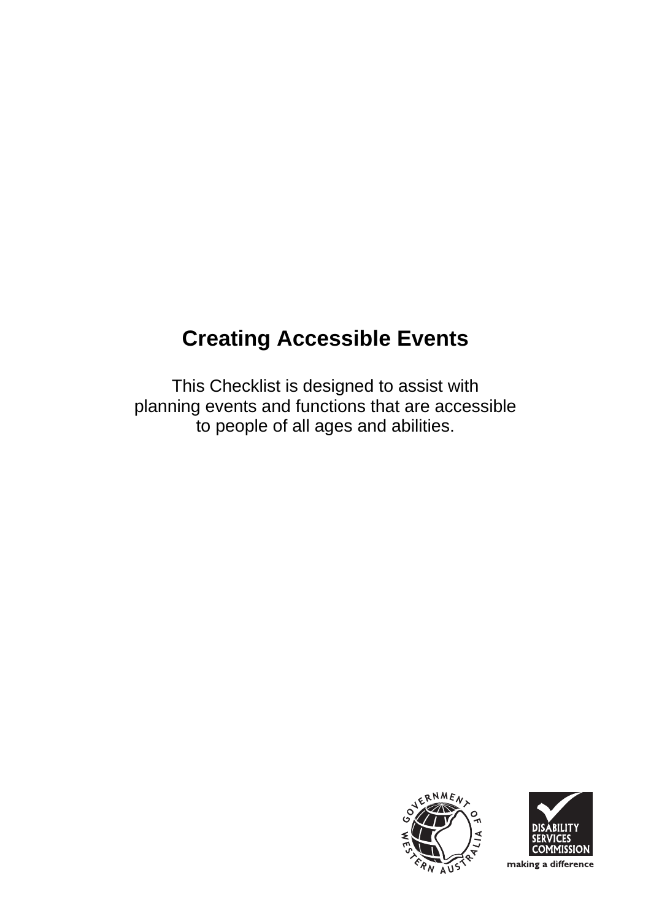# **Creating Accessible Events**

This Checklist is designed to assist with planning events and functions that are accessible to people of all ages and abilities.





making a difference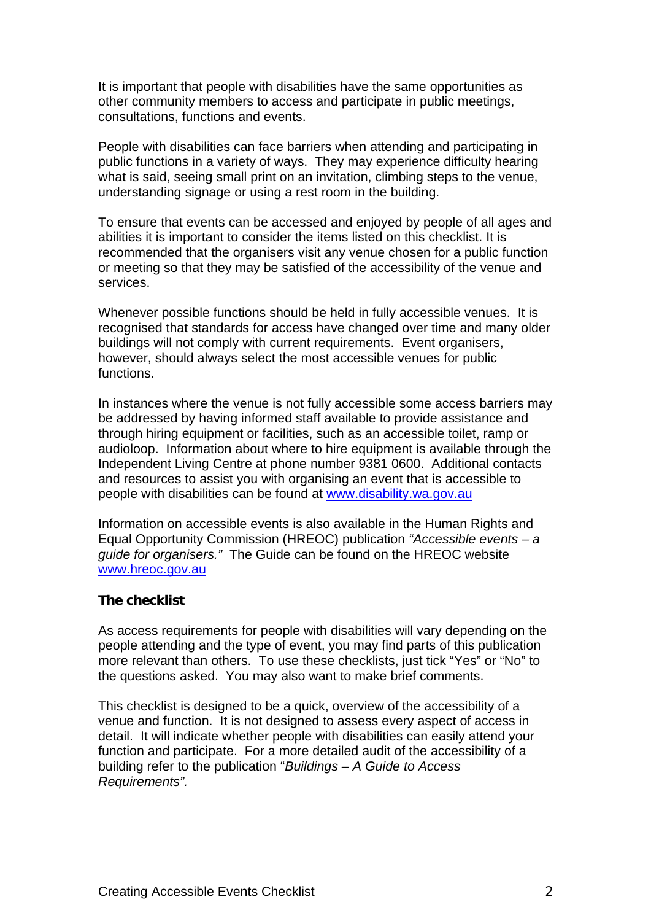It is important that people with disabilities have the same opportunities as other community members to access and participate in public meetings, consultations, functions and events.

People with disabilities can face barriers when attending and participating in public functions in a variety of ways. They may experience difficulty hearing what is said, seeing small print on an invitation, climbing steps to the venue, understanding signage or using a rest room in the building.

To ensure that events can be accessed and enjoyed by people of all ages and abilities it is important to consider the items listed on this checklist. It is recommended that the organisers visit any venue chosen for a public function or meeting so that they may be satisfied of the accessibility of the venue and services.

Whenever possible functions should be held in fully accessible venues. It is recognised that standards for access have changed over time and many older buildings will not comply with current requirements. Event organisers, however, should always select the most accessible venues for public functions.

In instances where the venue is not fully accessible some access barriers may be addressed by having informed staff available to provide assistance and through hiring equipment or facilities, such as an accessible toilet, ramp or audioloop. Information about where to hire equipment is available through the Independent Living Centre at phone number 9381 0600. Additional contacts and resources to assist you with organising an event that is accessible to people with disabilities can be found at [www.disability.wa.gov.au](http://www.disability.wa.gov.au/)

Information on accessible events is also available in the Human Rights and Equal Opportunity Commission (HREOC) publication *"Accessible events – a guide for organisers."* The Guide can be found on the HREOC website [www.hreoc.gov.au](http://www.hreoc.gov.au/)

#### **The checklist**

As access requirements for people with disabilities will vary depending on the people attending and the type of event, you may find parts of this publication more relevant than others. To use these checklists, just tick "Yes" or "No" to the questions asked. You may also want to make brief comments.

This checklist is designed to be a quick, overview of the accessibility of a venue and function. It is not designed to assess every aspect of access in detail. It will indicate whether people with disabilities can easily attend your function and participate. For a more detailed audit of the accessibility of a building refer to the publication "*Buildings – A Guide to Access Requirements".*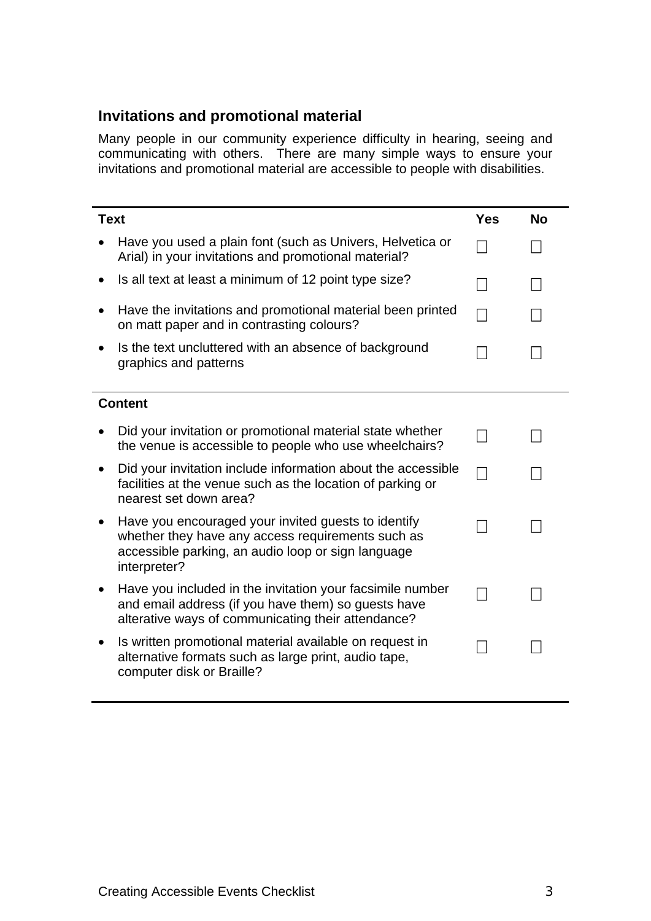### **Invitations and promotional material**

Many people in our community experience difficulty in hearing, seeing and communicating with others. There are many simple ways to ensure your invitations and promotional material are accessible to people with disabilities.

| <b>Text</b> |                                                                                                                                                                                | <b>Yes</b> | <b>No</b> |
|-------------|--------------------------------------------------------------------------------------------------------------------------------------------------------------------------------|------------|-----------|
|             | Have you used a plain font (such as Univers, Helvetica or<br>Arial) in your invitations and promotional material?                                                              |            |           |
|             | Is all text at least a minimum of 12 point type size?                                                                                                                          |            |           |
|             | Have the invitations and promotional material been printed<br>on matt paper and in contrasting colours?                                                                        |            |           |
|             | Is the text uncluttered with an absence of background<br>graphics and patterns                                                                                                 |            |           |
|             | <b>Content</b>                                                                                                                                                                 |            |           |
|             |                                                                                                                                                                                |            |           |
|             | Did your invitation or promotional material state whether<br>the venue is accessible to people who use wheelchairs?                                                            |            |           |
|             | Did your invitation include information about the accessible<br>facilities at the venue such as the location of parking or<br>nearest set down area?                           |            |           |
|             | Have you encouraged your invited guests to identify<br>whether they have any access requirements such as<br>accessible parking, an audio loop or sign language<br>interpreter? |            |           |
|             | Have you included in the invitation your facsimile number<br>and email address (if you have them) so guests have<br>alterative ways of communicating their attendance?         |            |           |
|             | Is written promotional material available on request in<br>alternative formats such as large print, audio tape,<br>computer disk or Braille?                                   |            |           |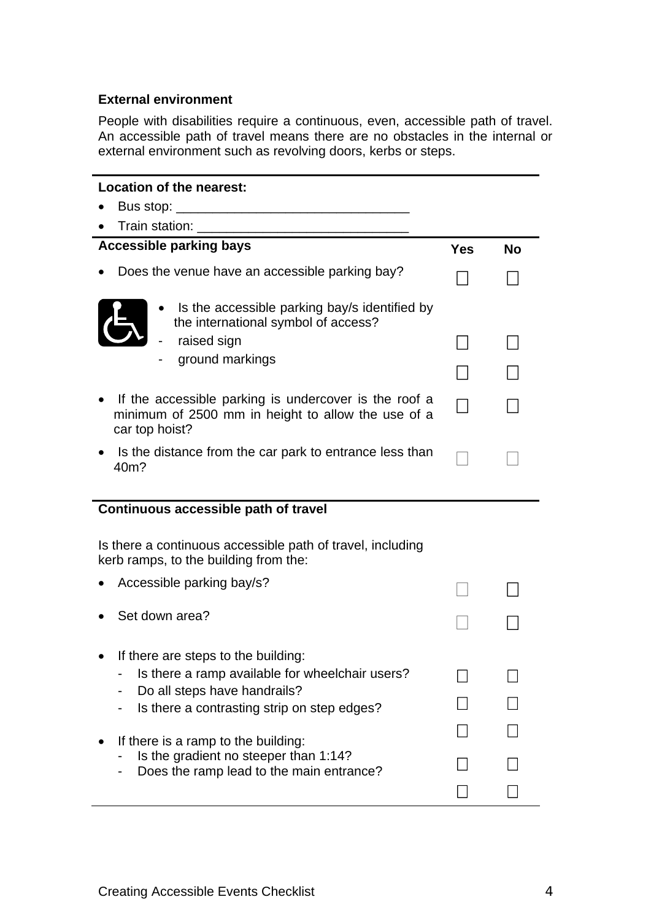#### **External environment**

People with disabilities require a continuous, even, accessible path of travel. An accessible path of travel means there are no obstacles in the internal or external environment such as revolving doors, kerbs or steps.

| <b>Location of the nearest:</b>                                                                                                             |   |           |  |  |
|---------------------------------------------------------------------------------------------------------------------------------------------|---|-----------|--|--|
| Bus stop:                                                                                                                                   |   |           |  |  |
| Train station: <u>_______</u>                                                                                                               |   |           |  |  |
| <b>Accessible parking bays</b>                                                                                                              |   | <b>No</b> |  |  |
| Does the venue have an accessible parking bay?                                                                                              |   |           |  |  |
| Is the accessible parking bay/s identified by<br>the international symbol of access?                                                        |   |           |  |  |
| raised sign                                                                                                                                 |   |           |  |  |
| ground markings                                                                                                                             |   |           |  |  |
|                                                                                                                                             |   |           |  |  |
| If the accessible parking is undercover is the roof a<br>minimum of 2500 mm in height to allow the use of a<br>car top hoist?               |   |           |  |  |
| Is the distance from the car park to entrance less than<br>40m?                                                                             |   |           |  |  |
| Continuous accessible path of travel<br>Is there a continuous accessible path of travel, including<br>kerb ramps, to the building from the: |   |           |  |  |
| Accessible parking bay/s?                                                                                                                   |   |           |  |  |
|                                                                                                                                             |   |           |  |  |
| Set down area?                                                                                                                              |   |           |  |  |
| If there are steps to the building:                                                                                                         |   |           |  |  |
| Is there a ramp available for wheelchair users?                                                                                             | − |           |  |  |
| Do all steps have handrails?                                                                                                                |   |           |  |  |
| Is there a contrasting strip on step edges?                                                                                                 |   |           |  |  |
| If there is a ramp to the building:                                                                                                         |   |           |  |  |
| Is the gradient no steeper than 1:14?<br>Does the ramp lead to the main entrance?                                                           |   |           |  |  |
|                                                                                                                                             |   |           |  |  |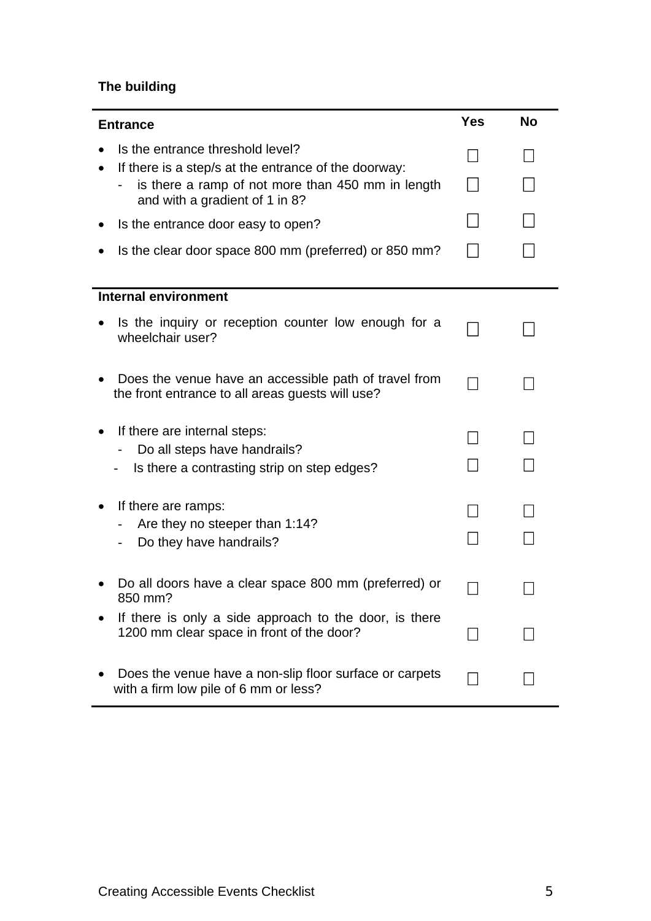## **The building**

| <b>Entrance</b>                                                                                                                             |  | <b>No</b> |
|---------------------------------------------------------------------------------------------------------------------------------------------|--|-----------|
| Is the entrance threshold level?                                                                                                            |  |           |
| If there is a step/s at the entrance of the doorway:<br>is there a ramp of not more than 450 mm in length<br>and with a gradient of 1 in 8? |  |           |
| Is the entrance door easy to open?                                                                                                          |  |           |
| Is the clear door space 800 mm (preferred) or 850 mm?                                                                                       |  |           |
|                                                                                                                                             |  |           |
| <b>Internal environment</b>                                                                                                                 |  |           |
| Is the inquiry or reception counter low enough for a<br>wheelchair user?                                                                    |  |           |
| Does the venue have an accessible path of travel from<br>the front entrance to all areas guests will use?                                   |  |           |
| If there are internal steps:                                                                                                                |  |           |
| Do all steps have handrails?                                                                                                                |  |           |
| Is there a contrasting strip on step edges?                                                                                                 |  |           |
| If there are ramps:                                                                                                                         |  |           |
| Are they no steeper than 1:14?                                                                                                              |  |           |
| Do they have handrails?                                                                                                                     |  |           |
| Do all doors have a clear space 800 mm (preferred) or<br>850 mm?                                                                            |  |           |
| If there is only a side approach to the door, is there<br>1200 mm clear space in front of the door?                                         |  |           |
| Does the venue have a non-slip floor surface or carpets<br>with a firm low pile of 6 mm or less?                                            |  |           |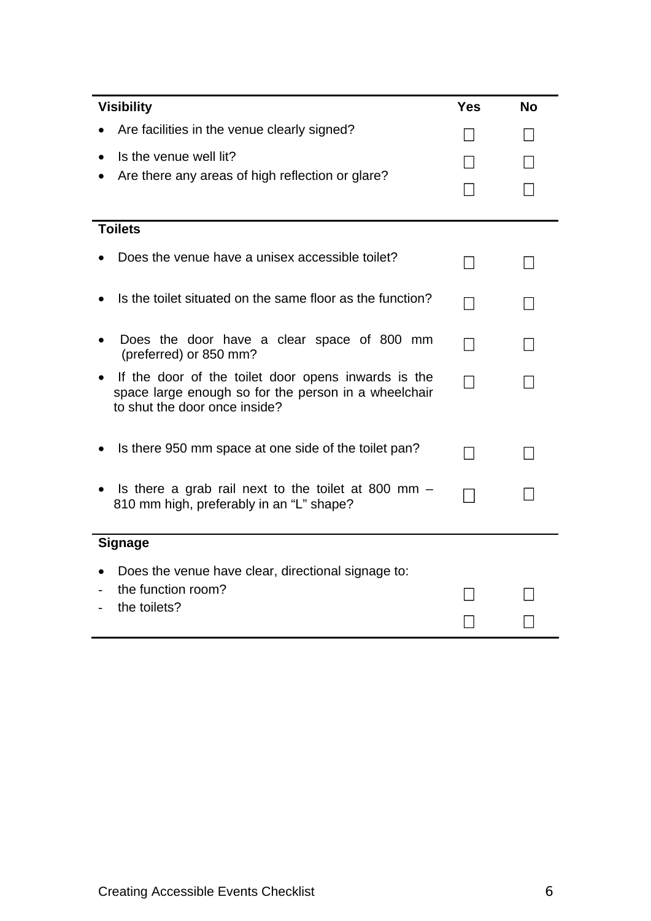| <b>Visibility</b>                                                                                                                            |  | <b>No</b> |  |
|----------------------------------------------------------------------------------------------------------------------------------------------|--|-----------|--|
| Are facilities in the venue clearly signed?                                                                                                  |  |           |  |
| Is the venue well lit?                                                                                                                       |  |           |  |
| Are there any areas of high reflection or glare?                                                                                             |  |           |  |
|                                                                                                                                              |  |           |  |
| <b>Toilets</b>                                                                                                                               |  |           |  |
| Does the venue have a unisex accessible toilet?                                                                                              |  |           |  |
| Is the toilet situated on the same floor as the function?                                                                                    |  |           |  |
| Does the door have a clear space of 800 mm<br>(preferred) or 850 mm?                                                                         |  |           |  |
| If the door of the toilet door opens inwards is the<br>space large enough so for the person in a wheelchair<br>to shut the door once inside? |  |           |  |
| Is there 950 mm space at one side of the toilet pan?                                                                                         |  |           |  |
| Is there a grab rail next to the toilet at 800 mm $-$<br>810 mm high, preferably in an "L" shape?                                            |  |           |  |
| <b>Signage</b>                                                                                                                               |  |           |  |
| Does the venue have clear, directional signage to:                                                                                           |  |           |  |
| the function room?<br>the toilets?                                                                                                           |  |           |  |
|                                                                                                                                              |  |           |  |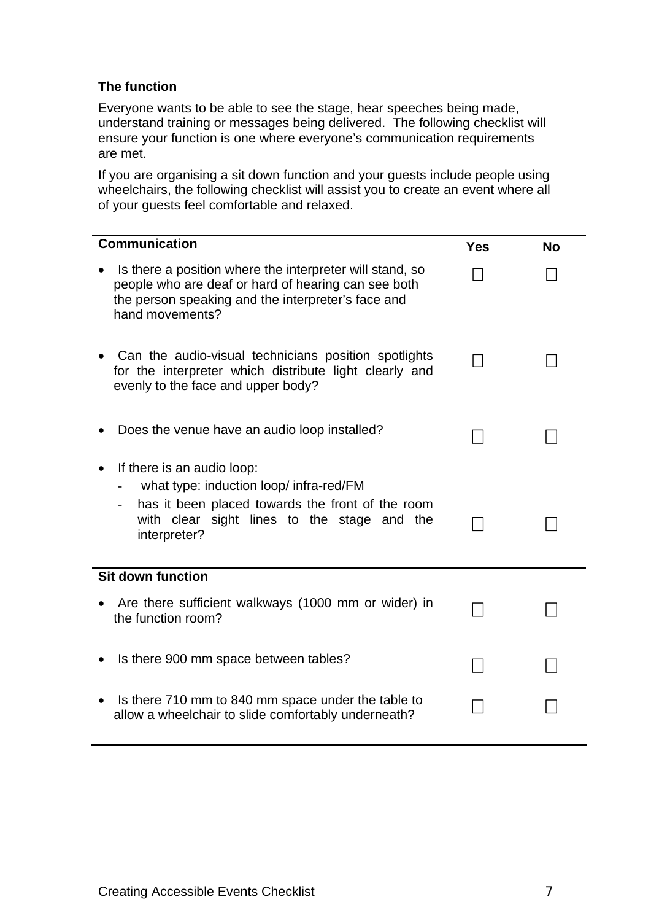#### **The function**

Everyone wants to be able to see the stage, hear speeches being made, understand training or messages being delivered. The following checklist will ensure your function is one where everyone's communication requirements are met.

If you are organising a sit down function and your guests include people using wheelchairs, the following checklist will assist you to create an event where all of your guests feel comfortable and relaxed.

| <b>Communication</b>                                                                                                                                                                     | <b>Yes</b> | <b>No</b> |
|------------------------------------------------------------------------------------------------------------------------------------------------------------------------------------------|------------|-----------|
| Is there a position where the interpreter will stand, so<br>people who are deaf or hard of hearing can see both<br>the person speaking and the interpreter's face and<br>hand movements? |            |           |
| Can the audio-visual technicians position spotlights<br>for the interpreter which distribute light clearly and<br>evenly to the face and upper body?                                     |            |           |
| Does the venue have an audio loop installed?                                                                                                                                             |            |           |
| If there is an audio loop:<br>what type: induction loop/infra-red/FM<br>has it been placed towards the front of the room<br>with clear sight lines to the stage and the<br>interpreter?  |            |           |
| <b>Sit down function</b>                                                                                                                                                                 |            |           |
| Are there sufficient walkways (1000 mm or wider) in<br>the function room?                                                                                                                |            |           |
| Is there 900 mm space between tables?                                                                                                                                                    |            |           |
| Is there 710 mm to 840 mm space under the table to<br>allow a wheelchair to slide comfortably underneath?                                                                                |            |           |